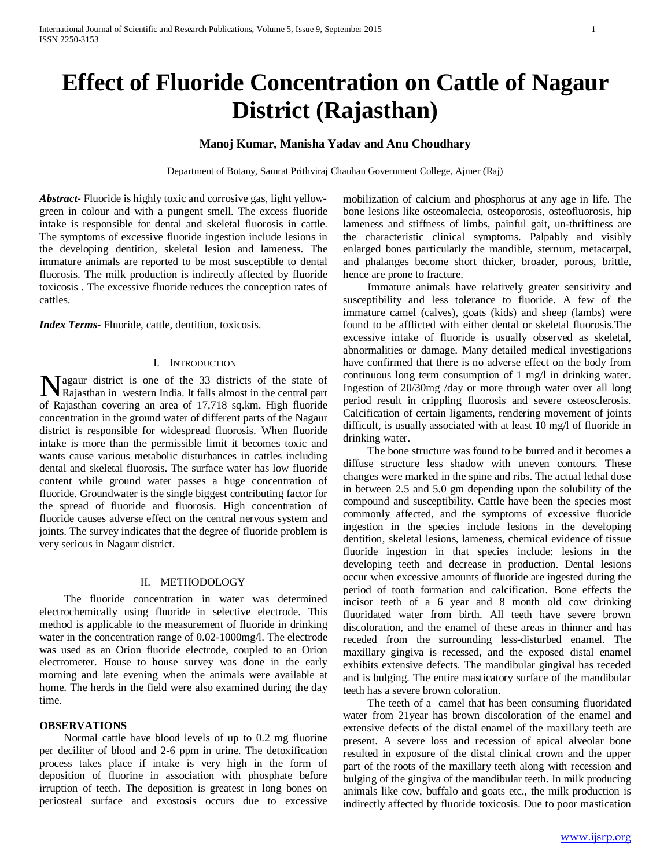# **Manoj Kumar, Manisha Yadav and Anu Choudhary**

Department of Botany, Samrat Prithviraj Chauhan Government College, Ajmer (Raj)

*Abstract***-** Fluoride is highly toxic and corrosive gas, light yellowgreen in colour and with a pungent smell. The excess fluoride intake is responsible for dental and skeletal fluorosis in cattle. The symptoms of excessive fluoride ingestion include lesions in the developing dentition, skeletal lesion and lameness. The immature animals are reported to be most susceptible to dental fluorosis. The milk production is indirectly affected by fluoride toxicosis . The excessive fluoride reduces the conception rates of cattles.

*Index Terms*- Fluoride, cattle, dentition, toxicosis.

## I. INTRODUCTION

agaur district is one of the 33 districts of the state of **N** agaur district is one of the 33 districts of the state of Rajasthan in western India. It falls almost in the central part of Rajasthan covering an area of 17,718 sq.km. High fluoride concentration in the ground water of different parts of the Nagaur district is responsible for widespread fluorosis. When fluoride intake is more than the permissible limit it becomes toxic and wants cause various metabolic disturbances in cattles including dental and skeletal fluorosis. The surface water has low fluoride content while ground water passes a huge concentration of fluoride. Groundwater is the single biggest contributing factor for the spread of fluoride and fluorosis. High concentration of fluoride causes adverse effect on the central nervous system and joints. The survey indicates that the degree of fluoride problem is very serious in Nagaur district.

### II. METHODOLOGY

 The fluoride concentration in water was determined electrochemically using fluoride in selective electrode. This method is applicable to the measurement of fluoride in drinking water in the concentration range of 0.02-1000mg/l. The electrode was used as an Orion fluoride electrode, coupled to an Orion electrometer. House to house survey was done in the early morning and late evening when the animals were available at home. The herds in the field were also examined during the day time.

## **OBSERVATIONS**

 Normal cattle have blood levels of up to 0.2 mg fluorine per deciliter of blood and 2-6 ppm in urine. The detoxification process takes place if intake is very high in the form of deposition of fluorine in association with phosphate before irruption of teeth. The deposition is greatest in long bones on periosteal surface and exostosis occurs due to excessive

mobilization of calcium and phosphorus at any age in life. The bone lesions like osteomalecia, osteoporosis, osteofluorosis, hip lameness and stiffness of limbs, painful gait, un-thriftiness are the characteristic clinical symptoms. Palpably and visibly enlarged bones particularly the mandible, sternum, metacarpal, and phalanges become short thicker, broader, porous, brittle, hence are prone to fracture.

 Immature animals have relatively greater sensitivity and susceptibility and less tolerance to fluoride. A few of the immature camel (calves), goats (kids) and sheep (lambs) were found to be afflicted with either dental or skeletal fluorosis.The excessive intake of fluoride is usually observed as skeletal, abnormalities or damage. Many detailed medical investigations have confirmed that there is no adverse effect on the body from continuous long term consumption of 1 mg/l in drinking water. Ingestion of 20/30mg /day or more through water over all long period result in crippling fluorosis and severe osteosclerosis. Calcification of certain ligaments, rendering movement of joints difficult, is usually associated with at least 10 mg/l of fluoride in drinking water.

 The bone structure was found to be burred and it becomes a diffuse structure less shadow with uneven contours. These changes were marked in the spine and ribs. The actual lethal dose in between 2.5 and 5.0 gm depending upon the solubility of the compound and susceptibility. Cattle have been the species most commonly affected, and the symptoms of excessive fluoride ingestion in the species include lesions in the developing dentition, skeletal lesions, lameness, chemical evidence of tissue fluoride ingestion in that species include: lesions in the developing teeth and decrease in production. Dental lesions occur when excessive amounts of fluoride are ingested during the period of tooth formation and calcification. Bone effects the incisor teeth of a 6 year and 8 month old cow drinking fluoridated water from birth. All teeth have severe brown discoloration, and the enamel of these areas in thinner and has receded from the surrounding less-disturbed enamel. The maxillary gingiva is recessed, and the exposed distal enamel exhibits extensive defects. The mandibular gingival has receded and is bulging. The entire masticatory surface of the mandibular teeth has a severe brown coloration.

 The teeth of a camel that has been consuming fluoridated water from 21year has brown discoloration of the enamel and extensive defects of the distal enamel of the maxillary teeth are present. A severe loss and recession of apical alveolar bone resulted in exposure of the distal clinical crown and the upper part of the roots of the maxillary teeth along with recession and bulging of the gingiva of the mandibular teeth. In milk producing animals like cow, buffalo and goats etc., the milk production is indirectly affected by fluoride toxicosis. Due to poor mastication